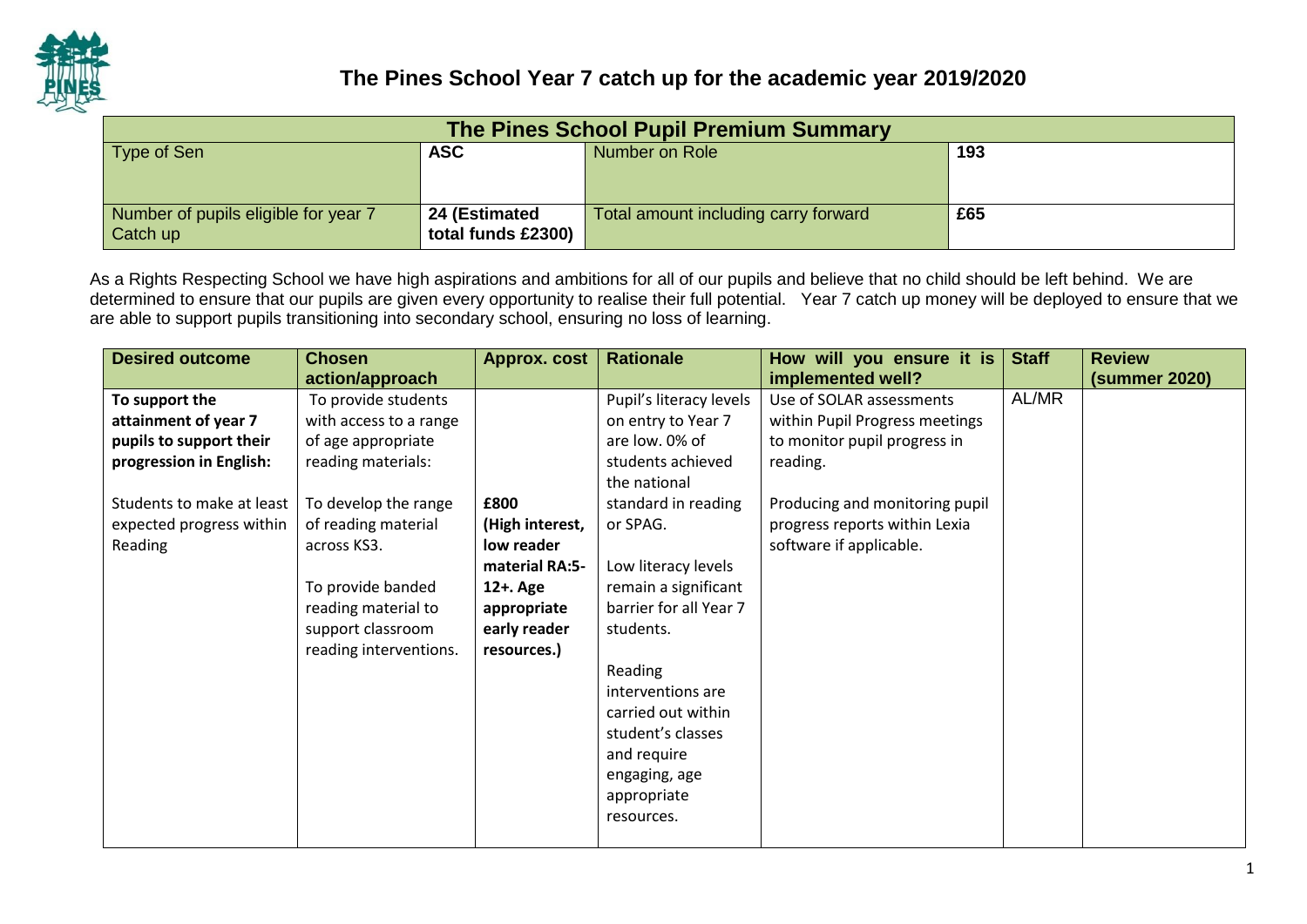

| The Pines School Pupil Premium Summary |                    |                                      |     |  |  |  |  |
|----------------------------------------|--------------------|--------------------------------------|-----|--|--|--|--|
| Type of Sen                            | <b>ASC</b>         | Number on Role                       | 193 |  |  |  |  |
|                                        |                    |                                      |     |  |  |  |  |
|                                        |                    |                                      |     |  |  |  |  |
| Number of pupils eligible for year 7   | 24 (Estimated      | Total amount including carry forward | £65 |  |  |  |  |
| Catch up                               | total funds £2300) |                                      |     |  |  |  |  |

As a Rights Respecting School we have high aspirations and ambitions for all of our pupils and believe that no child should be left behind. We are determined to ensure that our pupils are given every opportunity to realise their full potential. Year 7 catch up money will be deployed to ensure that we are able to support pupils transitioning into secondary school, ensuring no loss of learning.

| <b>Desired outcome</b>    | <b>Chosen</b>          | <b>Approx. cost</b> | <b>Rationale</b>        | How will you ensure it is      | <b>Staff</b> | <b>Review</b>        |
|---------------------------|------------------------|---------------------|-------------------------|--------------------------------|--------------|----------------------|
|                           | action/approach        |                     |                         | implemented well?              |              | <b>(summer 2020)</b> |
| To support the            | To provide students    |                     | Pupil's literacy levels | Use of SOLAR assessments       | AL/MR        |                      |
| attainment of year 7      | with access to a range |                     | on entry to Year 7      | within Pupil Progress meetings |              |                      |
| pupils to support their   | of age appropriate     |                     | are low. 0% of          | to monitor pupil progress in   |              |                      |
| progression in English:   | reading materials:     |                     | students achieved       | reading.                       |              |                      |
|                           |                        |                     | the national            |                                |              |                      |
| Students to make at least | To develop the range   | £800                | standard in reading     | Producing and monitoring pupil |              |                      |
| expected progress within  | of reading material    | (High interest,     | or SPAG.                | progress reports within Lexia  |              |                      |
| Reading                   | across KS3.            | low reader          |                         | software if applicable.        |              |                      |
|                           |                        | material RA:5-      | Low literacy levels     |                                |              |                      |
|                           | To provide banded      | 12+. Age            | remain a significant    |                                |              |                      |
|                           | reading material to    | appropriate         | barrier for all Year 7  |                                |              |                      |
|                           | support classroom      | early reader        | students.               |                                |              |                      |
|                           | reading interventions. | resources.)         |                         |                                |              |                      |
|                           |                        |                     | Reading                 |                                |              |                      |
|                           |                        |                     | interventions are       |                                |              |                      |
|                           |                        |                     | carried out within      |                                |              |                      |
|                           |                        |                     | student's classes       |                                |              |                      |
|                           |                        |                     | and require             |                                |              |                      |
|                           |                        |                     | engaging, age           |                                |              |                      |
|                           |                        |                     | appropriate             |                                |              |                      |
|                           |                        |                     | resources.              |                                |              |                      |
|                           |                        |                     |                         |                                |              |                      |